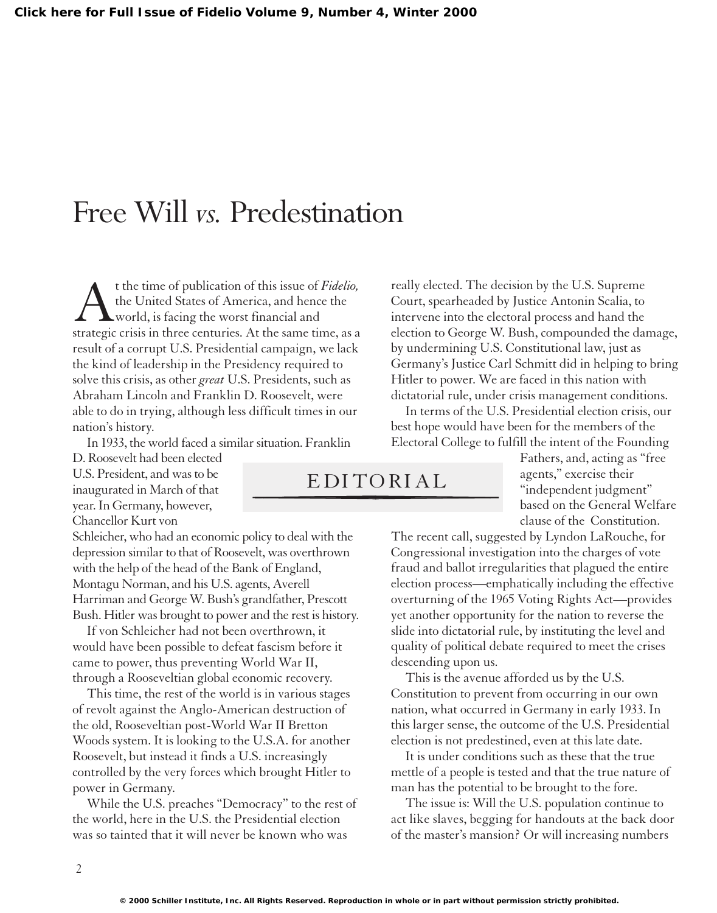## Free Will *vs.* Predestination

t the time of publication of this issue of *Fidelio*, the United States of America, and hence the world, is facing the worst financial and strategic crisis in three centuries. At the same time, as a result of a corrupt U.S. Presidential campaign, we lack the kind of leadership in the Presidency required to solve this crisis, as other *great* U.S. Presidents, such as Abraham Lincoln and Franklin D. Roosevelt, were able to do in trying, although less difficult times in our nation's history.

In 1933, the world faced a similar situation. Franklin

D. Roosevelt had been elected U.S. President, and was to be inaugurated in March of that year.In Germany, however, Chancellor Kurt von

Schleicher, who had an economic policy to deal with the depression similar to that of Roosevelt, was overthrown with the help of the head of the Bank of England, Montagu Norman, and his U.S. agents, Averell Harriman and George W. Bush's grandfather, Prescott Bush. Hitler was brought to power and the rest is history.

If von Schleicher had not been overthrown, it would have been possible to defeat fascism before it came to power, thus preventing World War II, through a Rooseveltian global economic recovery.

This time, the rest of the world is in various stages of revolt against the Anglo-American destruction of the old, Rooseveltian post-World War II Bretton Woods system. It is looking to the U.S.A. for another Roosevelt, but instead it finds a U.S. increasingly controlled by the very forces which brought Hitler to power in Germany.

While the U.S. preaches "Democracy" to the rest of the world, here in the U.S. the Presidential election was so tainted that it will never be known who was

really elected. The decision by the U.S. Supreme Court, spearheaded by Justice Antonin Scalia, to intervene into the electoral process and hand the election to George W. Bush, compounded the damage, by undermining U.S. Constitutional law, just as Germany's Justice Carl Schmitt did in helping to bring Hitler to power. We are faced in this nation with dictatorial rule, under crisis management conditions.

In terms of the U.S. Presidential election crisis, our best hope would have been for the members of the Electoral College to fulfill the intent of the Founding

> Fathers, and, acting as "free agents," exercise their "independent judgment" based on the General Welfare clause of the Constitution.

The recent call, suggested by Lyndon LaRouche, for Congressional investigation into the charges of vote fraud and ballot irregularities that plagued the entire election process—emphatically including the effective overturning of the 1965 Voting Rights Act—provides yet another opportunity for the nation to reverse the slide into dictatorial rule, by instituting the level and quality of political debate required to meet the crises descending upon us.

This is the avenue afforded us by the U.S. Constitution to prevent from occurring in our own nation, what occurred in Germany in early 1933. In this larger sense, the outcome of the U.S. Presidential election is not predestined, even at this late date.

It is under conditions such as these that the true mettle of a people is tested and that the true nature of man has the potential to be brought to the fore.

The issue is: Will the U.S. population continue to act like slaves, begging for handouts at the back door of the master's mansion? Or will increasing numbers

EDITORIAL